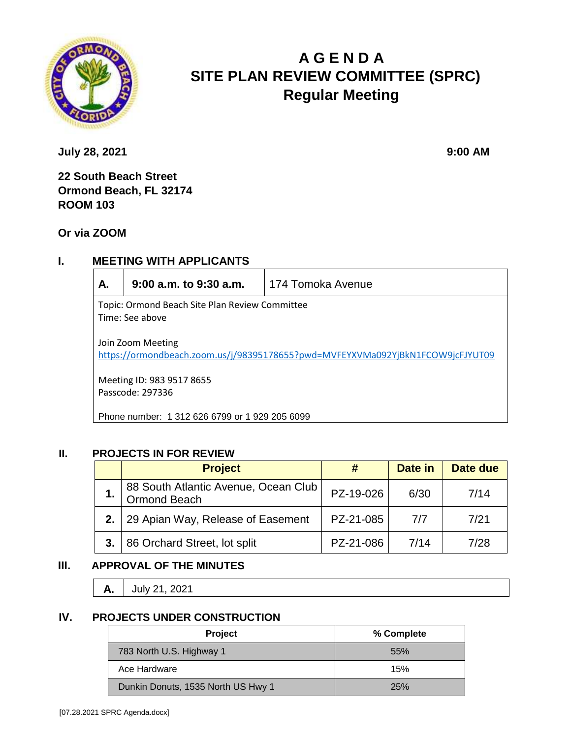

# **A G E N D A SITE PLAN REVIEW COMMITTEE (SPRC) Regular Meeting**

**July 28, 2021 9:00 AM** 

**22 South Beach Street Ormond Beach, FL 32174 ROOM 103**

**Or via ZOOM**

### **I. MEETING WITH APPLICANTS**

| А.                                                                                                  | $9:00$ a.m. to $9:30$ a.m. | 174 Tomoka Avenue |  |  |  |
|-----------------------------------------------------------------------------------------------------|----------------------------|-------------------|--|--|--|
| Topic: Ormond Beach Site Plan Review Committee<br>Time: See above                                   |                            |                   |  |  |  |
| Join Zoom Meeting<br>https://ormondbeach.zoom.us/j/98395178655?pwd=MVFEYXVMa092YjBkN1FCOW9jcFJYUT09 |                            |                   |  |  |  |
| Meeting ID: 983 9517 8655<br>Passcode: 297336                                                       |                            |                   |  |  |  |
| Phone number: 1 312 626 6799 or 1 929 205 6099                                                      |                            |                   |  |  |  |

#### **II. PROJECTS IN FOR REVIEW**

|    | <b>Project</b>                                       |           | Date in | Date due |
|----|------------------------------------------------------|-----------|---------|----------|
|    | 88 South Atlantic Avenue, Ocean Club<br>Ormond Beach | PZ-19-026 | 6/30    | 7/14     |
| 2. | 29 Apian Way, Release of Easement                    | PZ-21-085 | 7/7     | 7/21     |
| 3. | 86 Orchard Street, lot split                         | PZ-21-086 | 7/14    | 7/28     |

## **III. APPROVAL OF THE MINUTES**

**A.** July 21, 2021

#### **IV. PROJECTS UNDER CONSTRUCTION**

| Project                            | % Complete |
|------------------------------------|------------|
| 783 North U.S. Highway 1           | 55%        |
| Ace Hardware                       | 15%        |
| Dunkin Donuts, 1535 North US Hwy 1 | 25%        |